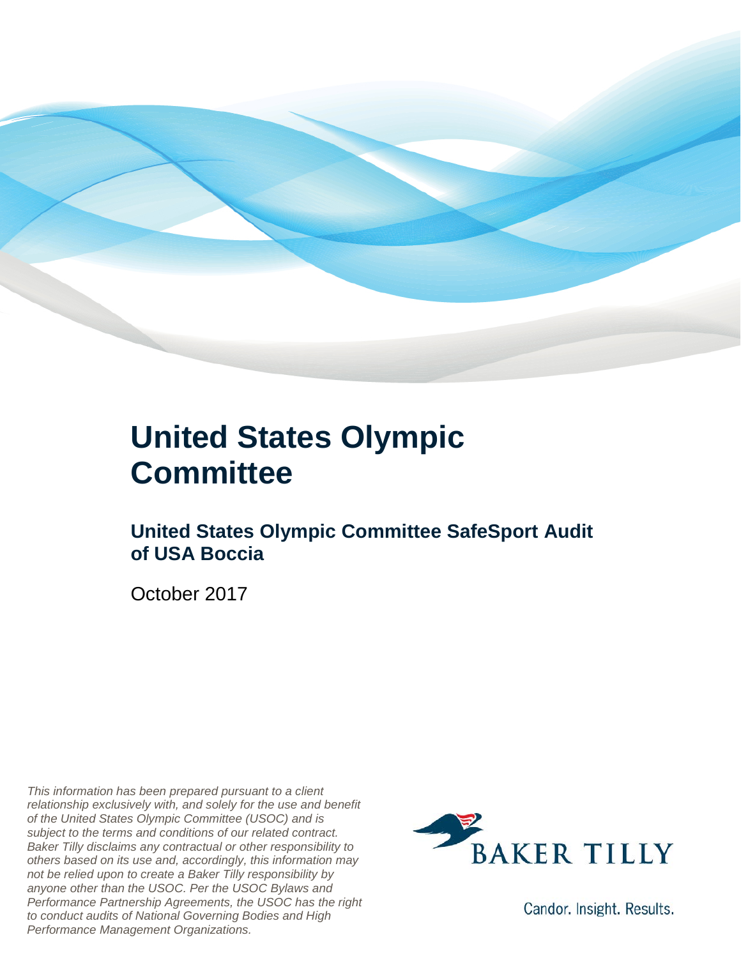

#### **United States Olympic Committee**

#### **United States Olympic Committee SafeSport Audit of USA Boccia**

October 2017

*This information has been prepared pursuant to a client relationship exclusively with, and solely for the use and benefit of the United States Olympic Committee (USOC) and is subject to the terms and conditions of our related contract. Baker Tilly disclaims any contractual or other responsibility to others based on its use and, accordingly, this information may not be relied upon to create a Baker Tilly responsibility by anyone other than the USOC. Per the USOC Bylaws and Performance Partnership Agreements, the USOC has the right to conduct audits of National Governing Bodies and High Performance Management Organizations.*



Candor. Insight. Results.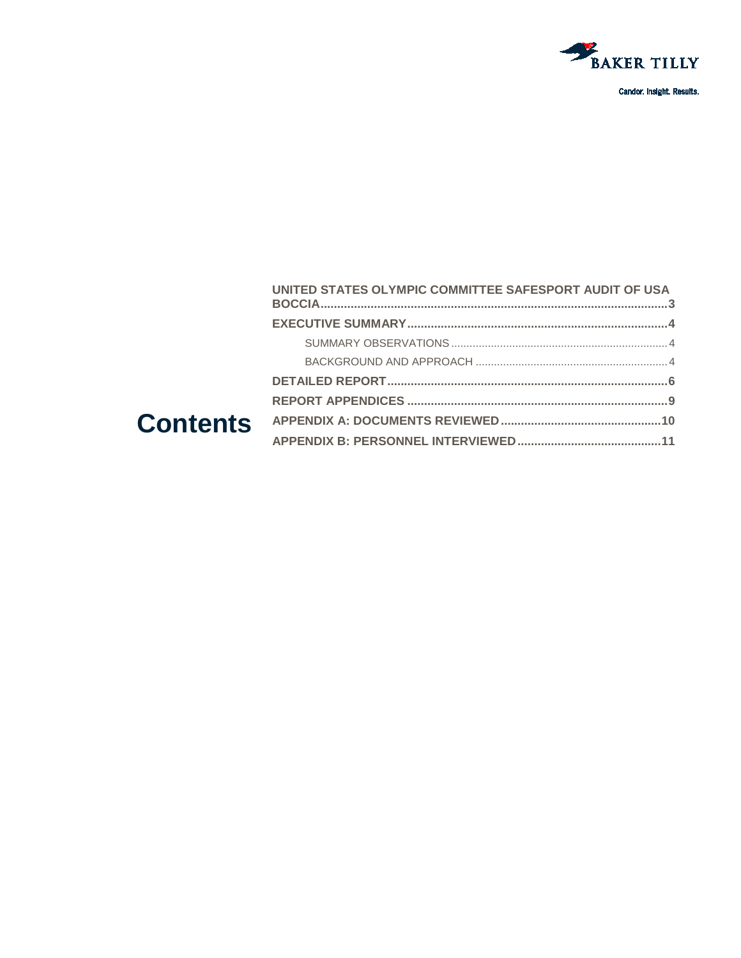

|  | UNITED STATES OLYMPIC COMMITTEE SAFESPORT AUDIT OF USA |  |
|--|--------------------------------------------------------|--|
|  |                                                        |  |
|  |                                                        |  |
|  |                                                        |  |
|  |                                                        |  |
|  |                                                        |  |
|  |                                                        |  |
|  |                                                        |  |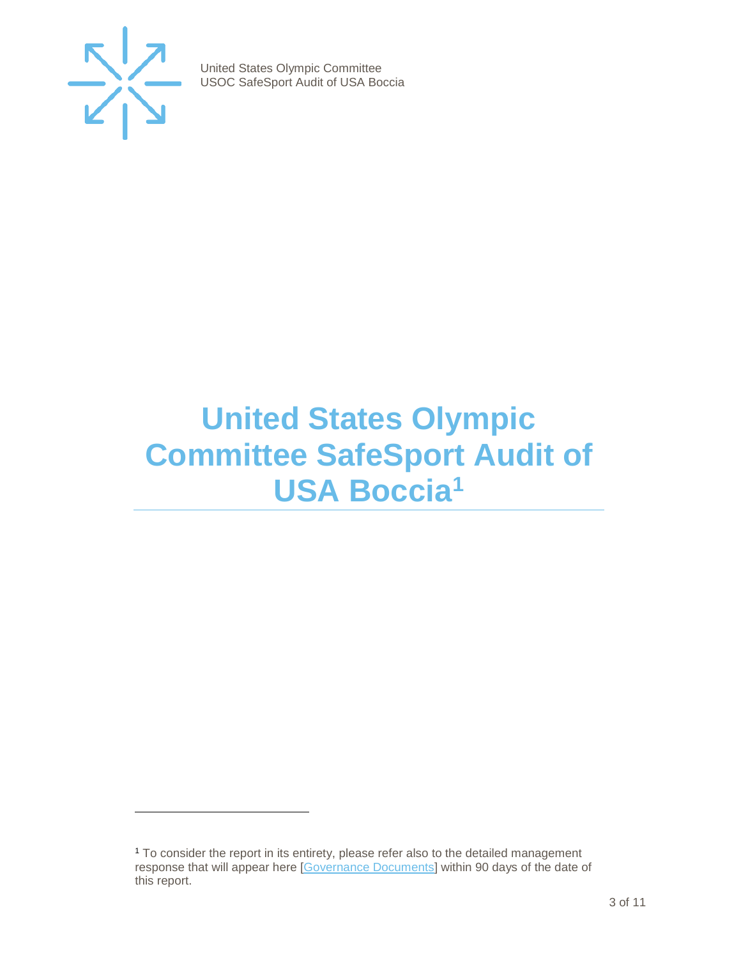

j

United States Olympic Committee USOC SafeSport Audit of USA Boccia

### <span id="page-2-0"></span>**United States Olympic Committee SafeSport Audit of USA Boccia[1](#page-2-1)**

<span id="page-2-1"></span><sup>1</sup> To consider the report in its entirety, please refer also to the detailed management response that will appear here [\[Governance Documents\]](https://www.teamusa.org/Footer/Legal/Governance-Documents) within 90 days of the date of this report.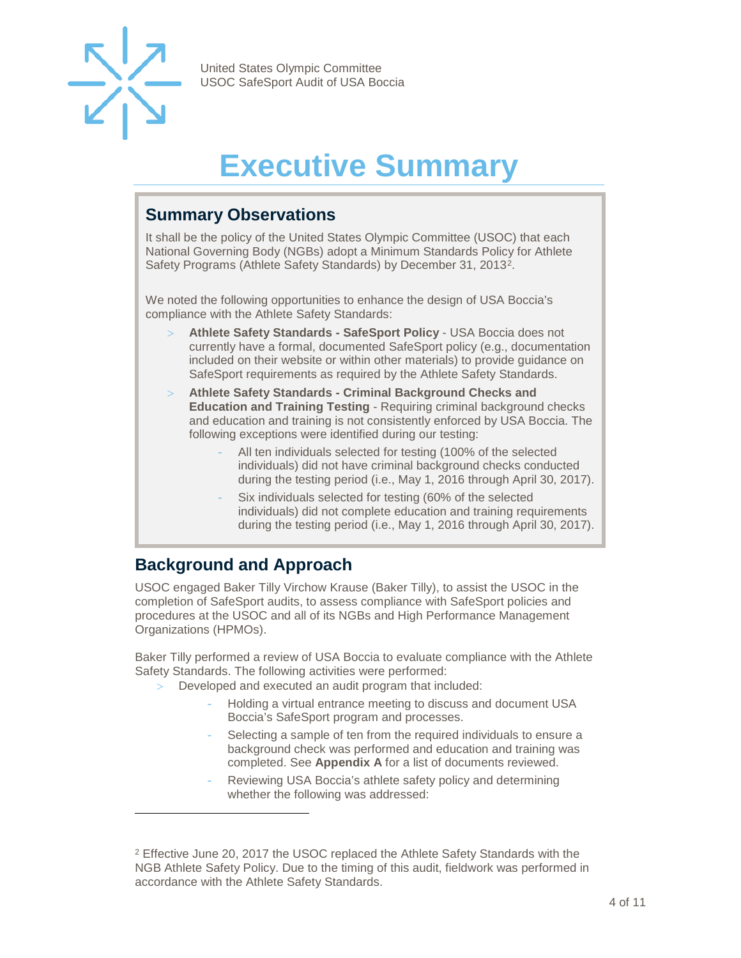

## **Executive Summary**

#### <span id="page-3-1"></span><span id="page-3-0"></span>**Summary Observations**

It shall be the policy of the United States Olympic Committee (USOC) that each National Governing Body (NGBs) adopt a Minimum Standards Policy for Athlete Safety Programs (Athlete Safety Standards) by December 31, 2013[2](#page-3-3).

We noted the following opportunities to enhance the design of USA Boccia's compliance with the Athlete Safety Standards:

- > **Athlete Safety Standards - SafeSport Policy** USA Boccia does not currently have a formal, documented SafeSport policy (e.g., documentation included on their website or within other materials) to provide guidance on SafeSport requirements as required by the Athlete Safety Standards.
- > **Athlete Safety Standards - Criminal Background Checks and Education and Training Testing** - Requiring criminal background checks and education and training is not consistently enforced by USA Boccia. The following exceptions were identified during our testing:
	- All ten individuals selected for testing (100% of the selected individuals) did not have criminal background checks conducted during the testing period (i.e., May 1, 2016 through April 30, 2017).
	- Six individuals selected for testing (60% of the selected individuals) did not complete education and training requirements during the testing period (i.e., May 1, 2016 through April 30, 2017).

#### <span id="page-3-2"></span>**Background and Approach**

-

USOC engaged Baker Tilly Virchow Krause (Baker Tilly), to assist the USOC in the completion of SafeSport audits, to assess compliance with SafeSport policies and procedures at the USOC and all of its NGBs and High Performance Management Organizations (HPMOs).

Baker Tilly performed a review of USA Boccia to evaluate compliance with the Athlete Safety Standards. The following activities were performed:

- Developed and executed an audit program that included:
	- Holding a virtual entrance meeting to discuss and document USA Boccia's SafeSport program and processes.
	- Selecting a sample of ten from the required individuals to ensure a background check was performed and education and training was completed. See **Appendix A** for a list of documents reviewed.
	- Reviewing USA Boccia's athlete safety policy and determining whether the following was addressed:

<span id="page-3-3"></span><sup>&</sup>lt;sup>2</sup> Effective June 20, 2017 the USOC replaced the Athlete Safety Standards with the NGB Athlete Safety Policy. Due to the timing of this audit, fieldwork was performed in accordance with the Athlete Safety Standards.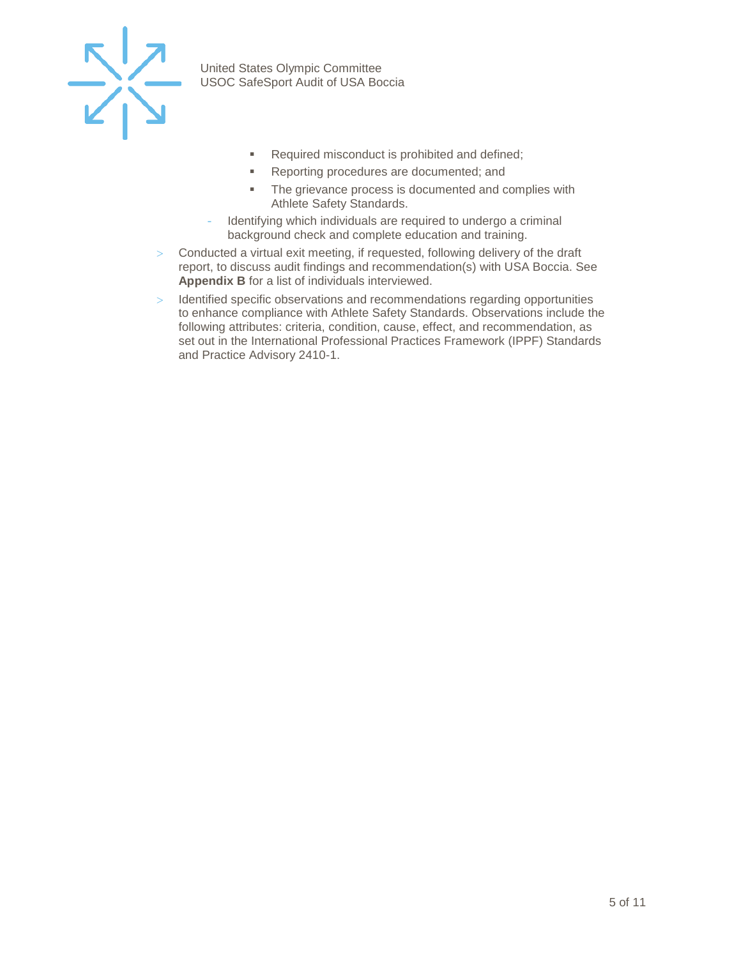

- Required misconduct is prohibited and defined;
- **Reporting procedures are documented; and**
- The grievance process is documented and complies with Athlete Safety Standards.
- Identifying which individuals are required to undergo a criminal background check and complete education and training.
- > Conducted a virtual exit meeting, if requested, following delivery of the draft report, to discuss audit findings and recommendation(s) with USA Boccia. See **Appendix B** for a list of individuals interviewed.
- > Identified specific observations and recommendations regarding opportunities to enhance compliance with Athlete Safety Standards. Observations include the following attributes: criteria, condition, cause, effect, and recommendation, as set out in the International Professional Practices Framework (IPPF) Standards and Practice Advisory 2410-1.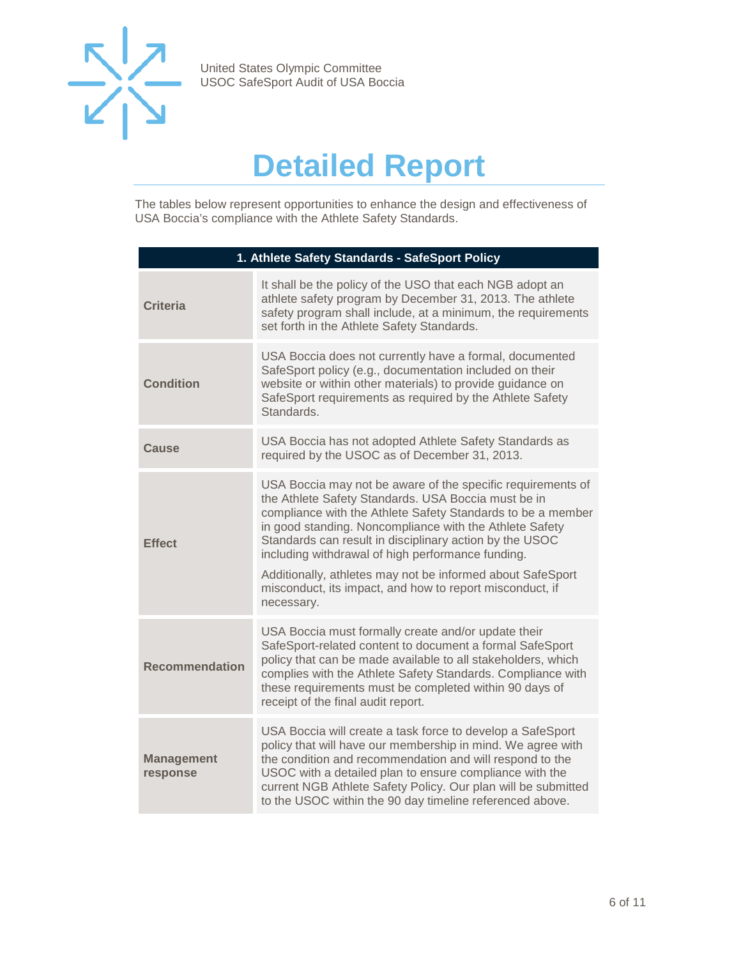

### **Detailed Report**

<span id="page-5-0"></span>The tables below represent opportunities to enhance the design and effectiveness of USA Boccia's compliance with the Athlete Safety Standards.

| 1. Athlete Safety Standards - SafeSport Policy |                                                                                                                                                                                                                                                                                                                                                                                                                                                                                                      |  |
|------------------------------------------------|------------------------------------------------------------------------------------------------------------------------------------------------------------------------------------------------------------------------------------------------------------------------------------------------------------------------------------------------------------------------------------------------------------------------------------------------------------------------------------------------------|--|
| <b>Criteria</b>                                | It shall be the policy of the USO that each NGB adopt an<br>athlete safety program by December 31, 2013. The athlete<br>safety program shall include, at a minimum, the requirements<br>set forth in the Athlete Safety Standards.                                                                                                                                                                                                                                                                   |  |
| <b>Condition</b>                               | USA Boccia does not currently have a formal, documented<br>SafeSport policy (e.g., documentation included on their<br>website or within other materials) to provide guidance on<br>SafeSport requirements as required by the Athlete Safety<br>Standards.                                                                                                                                                                                                                                            |  |
| Cause                                          | USA Boccia has not adopted Athlete Safety Standards as<br>required by the USOC as of December 31, 2013.                                                                                                                                                                                                                                                                                                                                                                                              |  |
| <b>Effect</b>                                  | USA Boccia may not be aware of the specific requirements of<br>the Athlete Safety Standards. USA Boccia must be in<br>compliance with the Athlete Safety Standards to be a member<br>in good standing. Noncompliance with the Athlete Safety<br>Standards can result in disciplinary action by the USOC<br>including withdrawal of high performance funding.<br>Additionally, athletes may not be informed about SafeSport<br>misconduct, its impact, and how to report misconduct, if<br>necessary. |  |
| <b>Recommendation</b>                          | USA Boccia must formally create and/or update their<br>SafeSport-related content to document a formal SafeSport<br>policy that can be made available to all stakeholders, which<br>complies with the Athlete Safety Standards. Compliance with<br>these requirements must be completed within 90 days of<br>receipt of the final audit report.                                                                                                                                                       |  |
| <b>Management</b><br>response                  | USA Boccia will create a task force to develop a SafeSport<br>policy that will have our membership in mind. We agree with<br>the condition and recommendation and will respond to the<br>USOC with a detailed plan to ensure compliance with the<br>current NGB Athlete Safety Policy. Our plan will be submitted<br>to the USOC within the 90 day timeline referenced above.                                                                                                                        |  |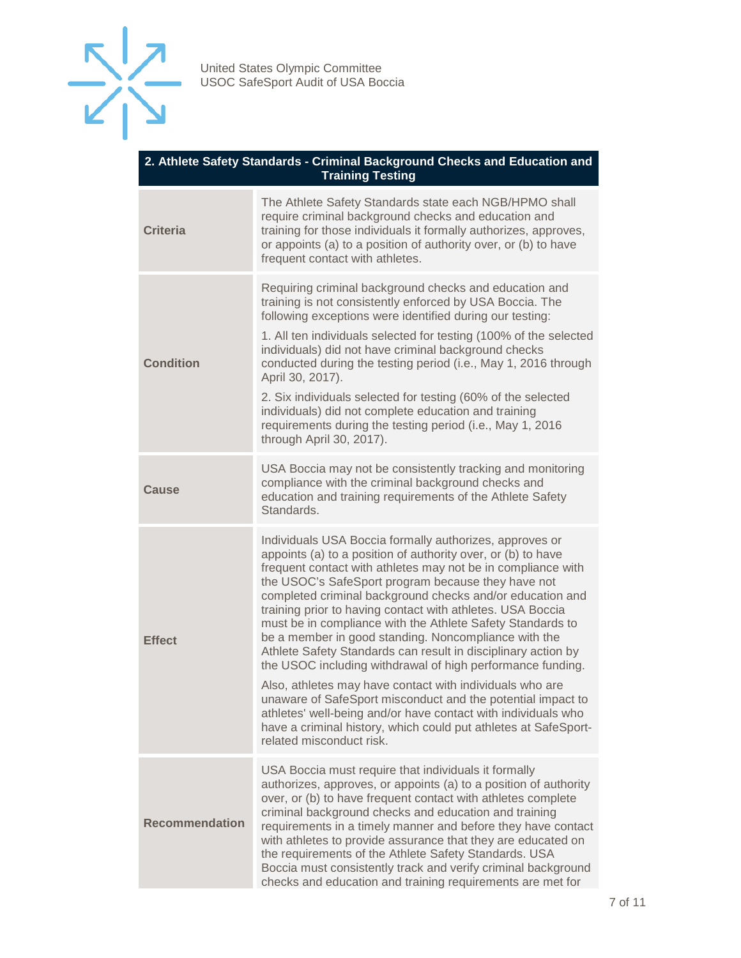

| 2. Athlete Safety Standards - Criminal Background Checks and Education and<br><b>Training Testing</b> |                                                                                                                                                                                                                                                                                                                                                                                                                                                                                                                                                                                                                                                                                                                                                                                                                                                                                                                          |  |
|-------------------------------------------------------------------------------------------------------|--------------------------------------------------------------------------------------------------------------------------------------------------------------------------------------------------------------------------------------------------------------------------------------------------------------------------------------------------------------------------------------------------------------------------------------------------------------------------------------------------------------------------------------------------------------------------------------------------------------------------------------------------------------------------------------------------------------------------------------------------------------------------------------------------------------------------------------------------------------------------------------------------------------------------|--|
| <b>Criteria</b>                                                                                       | The Athlete Safety Standards state each NGB/HPMO shall<br>require criminal background checks and education and<br>training for those individuals it formally authorizes, approves,<br>or appoints (a) to a position of authority over, or (b) to have<br>frequent contact with athletes.                                                                                                                                                                                                                                                                                                                                                                                                                                                                                                                                                                                                                                 |  |
| <b>Condition</b>                                                                                      | Requiring criminal background checks and education and<br>training is not consistently enforced by USA Boccia. The<br>following exceptions were identified during our testing:<br>1. All ten individuals selected for testing (100% of the selected<br>individuals) did not have criminal background checks<br>conducted during the testing period (i.e., May 1, 2016 through<br>April 30, 2017).<br>2. Six individuals selected for testing (60% of the selected<br>individuals) did not complete education and training<br>requirements during the testing period (i.e., May 1, 2016<br>through April 30, 2017).                                                                                                                                                                                                                                                                                                       |  |
| <b>Cause</b>                                                                                          | USA Boccia may not be consistently tracking and monitoring<br>compliance with the criminal background checks and<br>education and training requirements of the Athlete Safety<br>Standards.                                                                                                                                                                                                                                                                                                                                                                                                                                                                                                                                                                                                                                                                                                                              |  |
| <b>Effect</b>                                                                                         | Individuals USA Boccia formally authorizes, approves or<br>appoints (a) to a position of authority over, or (b) to have<br>frequent contact with athletes may not be in compliance with<br>the USOC's SafeSport program because they have not<br>completed criminal background checks and/or education and<br>training prior to having contact with athletes. USA Boccia<br>must be in compliance with the Athlete Safety Standards to<br>be a member in good standing. Noncompliance with the<br>Athlete Safety Standards can result in disciplinary action by<br>the USOC including withdrawal of high performance funding.<br>Also, athletes may have contact with individuals who are<br>unaware of SafeSport misconduct and the potential impact to<br>athletes' well-being and/or have contact with individuals who<br>have a criminal history, which could put athletes at SafeSport-<br>related misconduct risk. |  |
| <b>Recommendation</b>                                                                                 | USA Boccia must require that individuals it formally<br>authorizes, approves, or appoints (a) to a position of authority<br>over, or (b) to have frequent contact with athletes complete<br>criminal background checks and education and training<br>requirements in a timely manner and before they have contact<br>with athletes to provide assurance that they are educated on<br>the requirements of the Athlete Safety Standards. USA<br>Boccia must consistently track and verify criminal background<br>checks and education and training requirements are met for                                                                                                                                                                                                                                                                                                                                                |  |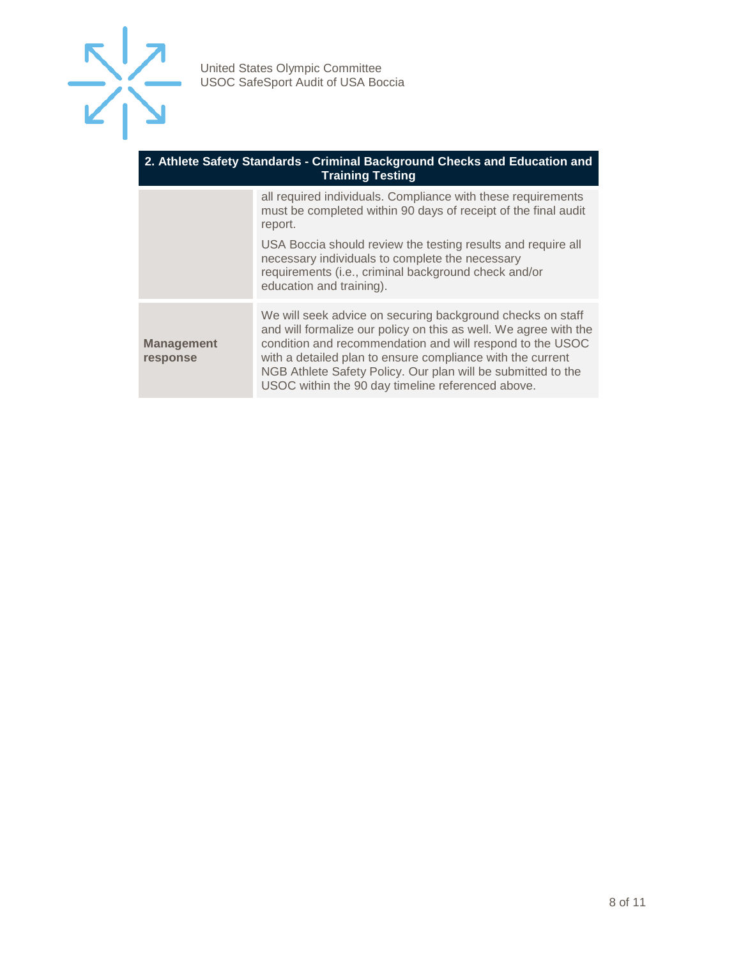

#### **2. Athlete Safety Standards - Criminal Background Checks and Education and Training Testing**

|                               | all required individuals. Compliance with these requirements<br>must be completed within 90 days of receipt of the final audit<br>report.<br>USA Boccia should review the testing results and require all<br>necessary individuals to complete the necessary<br>requirements (i.e., criminal background check and/or<br>education and training).                               |
|-------------------------------|--------------------------------------------------------------------------------------------------------------------------------------------------------------------------------------------------------------------------------------------------------------------------------------------------------------------------------------------------------------------------------|
| <b>Management</b><br>response | We will seek advice on securing background checks on staff<br>and will formalize our policy on this as well. We agree with the<br>condition and recommendation and will respond to the USOC<br>with a detailed plan to ensure compliance with the current<br>NGB Athlete Safety Policy. Our plan will be submitted to the<br>USOC within the 90 day timeline referenced above. |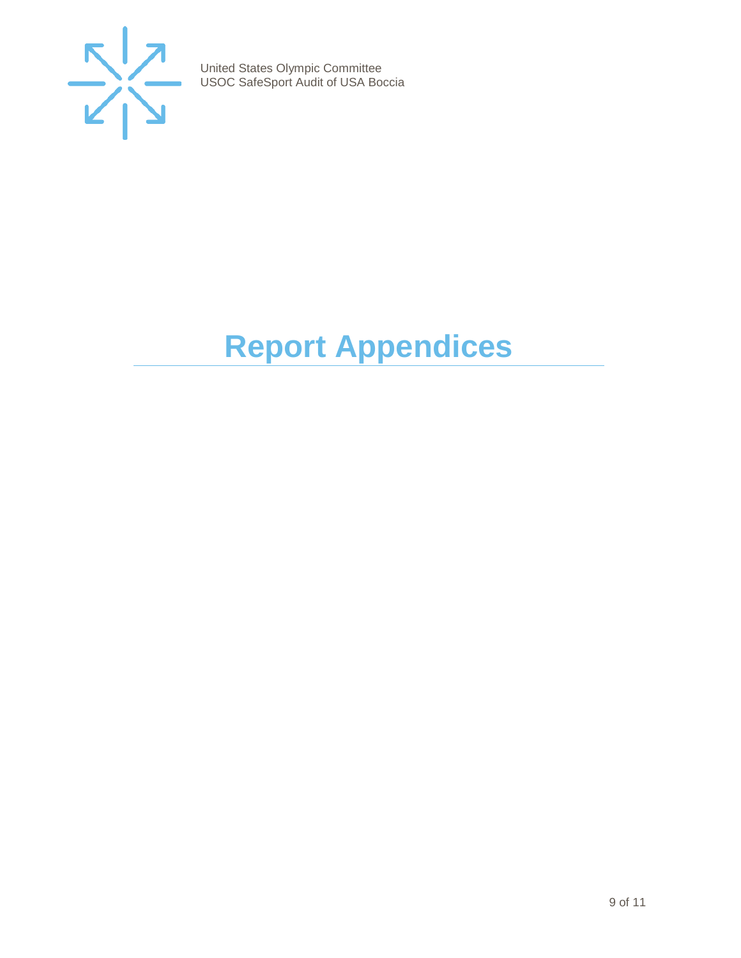

# <span id="page-8-0"></span>**Report Appendices**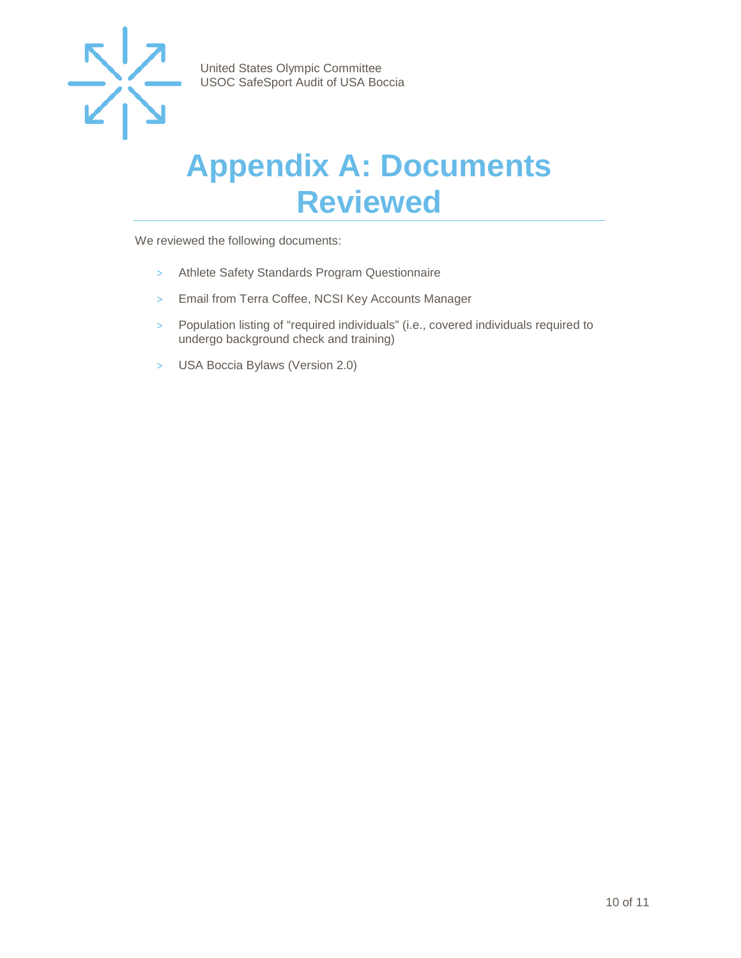

### <span id="page-9-0"></span>**Appendix A: Documents Reviewed**

We reviewed the following documents:

- > Athlete Safety Standards Program Questionnaire
- > Email from Terra Coffee, NCSI Key Accounts Manager
- > Population listing of "required individuals" (i.e., covered individuals required to undergo background check and training)
- > USA Boccia Bylaws (Version 2.0)